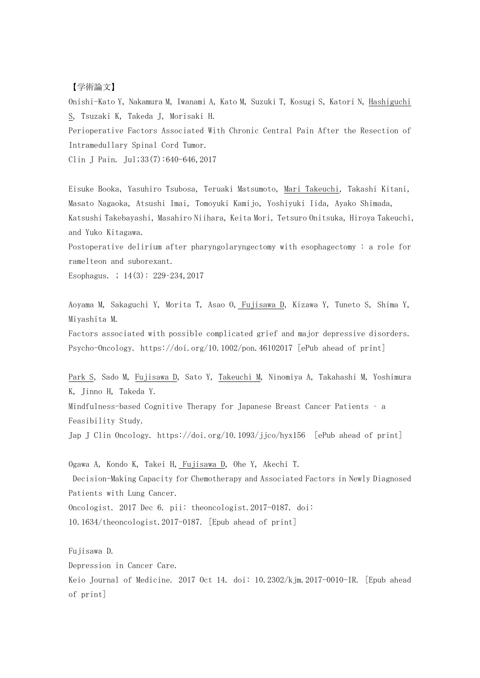## 【学術論文】

Onishi-Kato Y, Nakamura M, Iwanami A, Kato M, Suzuki T, Kosugi S, Katori N, Hashiguchi S, Tsuzaki K, Takeda J, Morisaki H. Perioperative Factors Associated With Chronic Central Pain After the Resection of Intramedullary Spinal Cord Tumor.

Clin J Pain. Jul;33(7):640-646,2017

Eisuke Booka, Yasuhiro Tsubosa, Teruaki Matsumoto, Mari Takeuchi, Takashi Kitani, Masato Nagaoka, Atsushi Imai, Tomoyuki Kamijo, Yoshiyuki Iida, Ayako Shimada, Katsushi Takebayashi, Masahiro Niihara, Keita Mori, Tetsuro Onitsuka, Hiroya Takeuchi, and Yuko Kitagawa.

Postoperative delirium after pharyngolaryngectomy with esophagectomy : a role for ramelteon and suborexant.

Esophagus. ; 14(3): 229–234,2017

Aoyama M, Sakaguchi Y, Morita T, Asao O, Fujisawa D, Kizawa Y, Tuneto S, Shima Y, Miyashita M.

Factors associated with possible complicated grief and major depressive disorders. Psycho-Oncology. https://doi.org/10.1002/pon.46102017 [ePub ahead of print]

Park S, Sado M, Fujisawa D, Sato Y, Takeuchi M, Ninomiya A, Takahashi M, Yoshimura K, Jinno H, Takeda Y.

Mindfulness-based Cognitive Therapy for Japanese Breast Cancer Patients – a Feasibility Study.

Jap J Clin Oncology. https://doi.org/10.1093/jjco/hyx156 [ePub ahead of print]

Ogawa A, Kondo K, Takei H, Fujisawa D, Ohe Y, Akechi T. Decision-Making Capacity for Chemotherapy and Associated Factors in Newly Diagnosed Patients with Lung Cancer. Oncologist. 2017 Dec 6. pii: theoncologist.2017-0187. doi: 10.1634/theoncologist.2017-0187. [Epub ahead of print]

Fujisawa D. Depression in Cancer Care. Keio Journal of Medicine. 2017 Oct 14. doi: 10.2302/kjm.2017-0010-IR. [Epub ahead of print]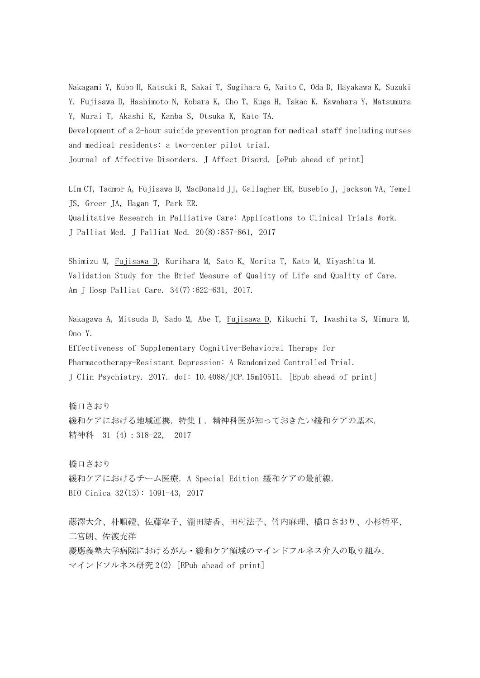Nakagami Y, Kubo H, Katsuki R, Sakai T, Sugihara G, Naito C, Oda D, Hayakawa K, Suzuki Y. Fujisawa D, Hashimoto N, Kobara K, Cho T, Kuga H, Takao K, Kawahara Y, Matsumura Y, Murai T, Akashi K, Kanba S, Otsuka K, Kato TA. Development of a 2-hour suicide prevention program for medical staff including nurses

Journal of Affective Disorders.J Affect Disord. [ePub ahead of print]

and medical residents: a two-center pilot trial.

Lim CT, Tadmor A, Fujisawa D, MacDonald JJ, Gallagher ER, Eusebio J, Jackson VA, Temel JS, Greer JA, Hagan T, Park ER. Qualitative Research in Palliative Care: Applications to Clinical Trials Work. J Palliat Med. J Palliat Med. 20(8):857-861, 2017

Shimizu M, Fujisawa D, Kurihara M, Sato K, Morita T, Kato M, Miyashita M. Validation Study for the Brief Measure of Quality of Life and Quality of Care. Am J Hosp Palliat Care. 34(7):622-631, 2017.

Nakagawa A, Mitsuda D, Sado M, Abe T, Fujisawa D, Kikuchi T, Iwashita S, Mimura M, Ono Y.

Effectiveness of Supplementary Cognitive-Behavioral Therapy for Pharmacotherapy-Resistant Depression: A Randomized Controlled Trial. J Clin Psychiatry. 2017. doi: 10.4088/JCP.15m10511. [Epub ahead of print]

橋口さおり 緩和ケアにおける地域連携. 特集 I. 精神科医が知っておきたい緩和ケアの基本. 精神科 31 (4): 318-22, 2017

橋口さおり 緩和ケアにおけるチーム医療. A Special Edition 緩和ケアの最前線. BIO Cinica 32(13): 1091-43, 2017

藤澤大介、朴順禮、佐藤寧子、瀧田結香、田村法子、竹内麻理、橋口さおり、小杉哲平、 二宮朗、佐渡充洋 慶應義塾大学病院におけるがん・緩和ケア領域のマインドフルネス介入の取り組み. マインドフルネス研究 2(2) [EPub ahead of print]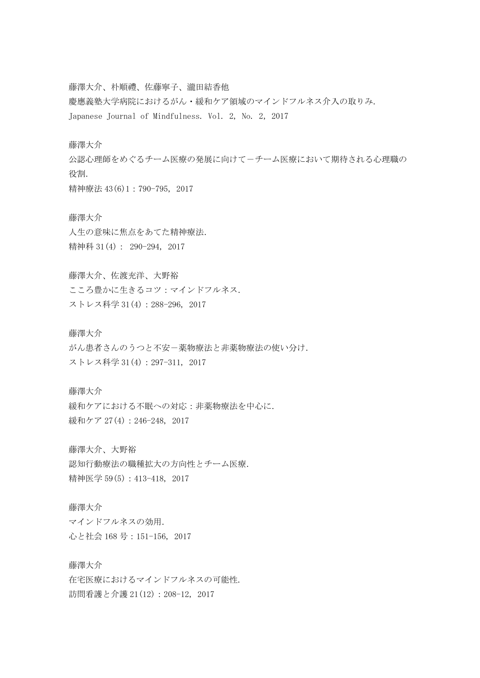藤澤大介、朴順禮、佐藤寧子、瀧田結香他 慶應義塾大学病院におけるがん・緩和ケア領域のマインドフルネス介入の取りみ.

Japanese Journal of Mindfulness. Vol. 2, No. 2, 2017

藤澤大介

公認心理師をめぐるチーム医療の発展に向けて-チーム医療において期待される心理職の 役割.

精神療法 43(6)1:790-795, 2017

藤澤大介 人生の意味に焦点をあてた精神療法. 精神科 31(4): 290-294, 2017

藤澤大介、佐渡充洋、大野裕 こころ豊かに生きるコツ:マインドフルネス. ストレス科学 31(4):288-296, 2017

藤澤大介 がん患者さんのうつと不安-薬物療法と非薬物療法の使い分け. ストレス科学 31(4):297-311, 2017

藤澤大介 緩和ケアにおける不眠への対応:非薬物療法を中心に. 緩和ケア 27(4): 246-248, 2017

藤澤大介、大野裕 認知行動療法の職種拡大の方向性とチーム医療. 精神医学 59(5):413-418, 2017

藤澤大介 マインドフルネスの効用. 心と社会 168 号:151-156, 2017

藤澤大介 在宅医療におけるマインドフルネスの可能性. 訪問看護と介護 21(12):208-12, 2017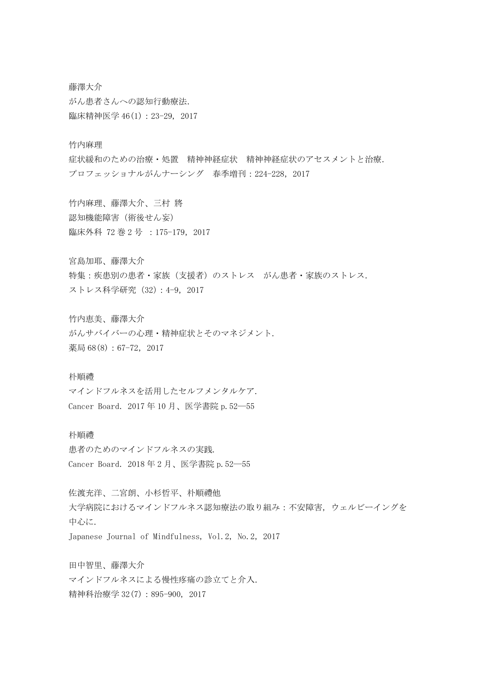藤澤大介 がん患者さんへの認知行動療法. 臨床精神医学 46(1): 23-29, 2017

竹内麻理

症状緩和のための治療・処置 精神神経症状 精神神経症状のアセスメントと治療. プロフェッショナルがんナーシング 春季増刊:224-228,2017

竹内麻理、藤澤大介、三村 將 認知機能障害(術後せん妄) 臨床外科 72 巻 2 号 :175-179,2017

宮島加耶、藤澤大介

特集:疾患別の患者・家族(支援者)のストレス がん患者・家族のストレス. ストレス科学研究 (32): 4-9, 2017

竹内恵美、藤澤大介 がんサバイバーの心理・精神症状とそのマネジメント. 薬局 68(8): 67-72, 2017

## 朴順禮

マインドフルネスを活用したセルフメンタルケア. Cancer Board. 2017年 10 月、医学書院 p.52–55

## 朴順禮

患者のためのマインドフルネスの実践. Cancer Board. 2018年 2 月、医学書院 p.52–55

佐渡充洋、二宮朗、小杉哲平、朴順禮他 大学病院におけるマインドフルネス認知療法の取り組み:不安障害,ウェルビーイングを 中心に. Japanese Journal of Mindfulness, Vol.2, No.2,2017

田中智里、藤澤大介 マインドフルネスによる慢性疼痛の診立てと介入. 精神科治療学 32(7):895-900, 2017